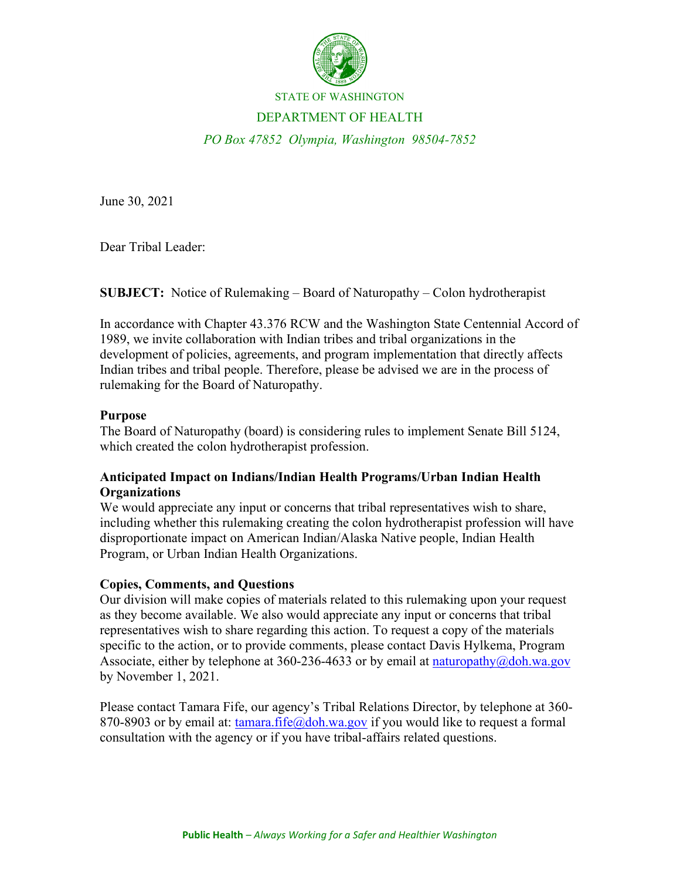

#### STATE OF WASHINGTON

#### DEPARTMENT OF HEALTH

*PO Box 47852 Olympia, Washington 98504-7852*

June 30, 2021

Dear Tribal Leader:

**SUBJECT:** Notice of Rulemaking – Board of Naturopathy – Colon hydrotherapist

In accordance with Chapter 43.376 RCW and the Washington State Centennial Accord of 1989, we invite collaboration with Indian tribes and tribal organizations in the development of policies, agreements, and program implementation that directly affects Indian tribes and tribal people. Therefore, please be advised we are in the process of rulemaking for the Board of Naturopathy.

## **Purpose**

The Board of Naturopathy (board) is considering rules to implement Senate Bill 5124, which created the colon hydrotherapist profession.

# **Anticipated Impact on Indians/Indian Health Programs/Urban Indian Health Organizations**

We would appreciate any input or concerns that tribal representatives wish to share, including whether this rulemaking creating the colon hydrotherapist profession will have disproportionate impact on American Indian/Alaska Native people, Indian Health Program, or Urban Indian Health Organizations.

## **Copies, Comments, and Questions**

Our division will make copies of materials related to this rulemaking upon your request as they become available. We also would appreciate any input or concerns that tribal representatives wish to share regarding this action. To request a copy of the materials specific to the action, or to provide comments, please contact Davis Hylkema, Program Associate, either by telephone at  $360-236-4633$  or by email at naturopathy $\omega$ doh.wa.gov by November 1, 2021.

Please contact Tamara Fife, our agency's Tribal Relations Director, by telephone at 360 870-8903 or by email at: [tamara.fife@doh.wa.gov](mailto:tamara.fife@doh.wa.gov) if you would like to request a formal consultation with the agency or if you have tribal-affairs related questions.